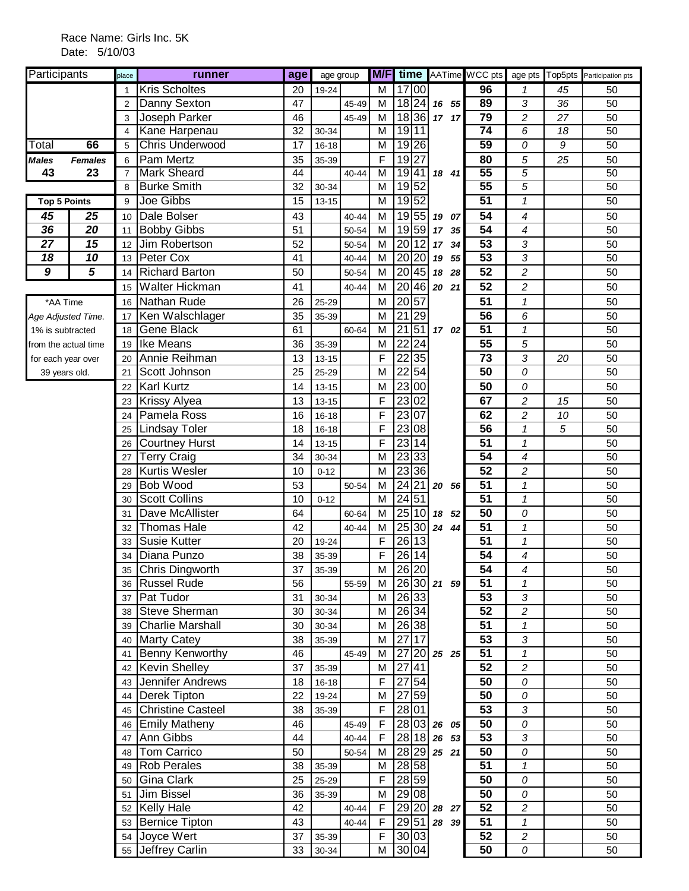| Participants         |                | place          | runner                 | age             | age group |           |             |                                 |          |                 |                            |    | <b>M/F</b> time AATime WCC pts age pts Top5pts Participation pts |
|----------------------|----------------|----------------|------------------------|-----------------|-----------|-----------|-------------|---------------------------------|----------|-----------------|----------------------------|----|------------------------------------------------------------------|
|                      |                | 1              | <b>Kris Scholtes</b>   | 20              | 19-24     |           | M           | 17 00                           |          | 96              | 1                          | 45 | 50                                                               |
|                      |                | $\overline{2}$ | Danny Sexton           | 47              |           | 45-49     | M           | 18 24                           | 16 55    | 89              | 3                          | 36 | 50                                                               |
|                      |                | 3              | Joseph Parker          | 46              |           | 45-49     | M           | 18 36                           | 17 17    | $\overline{79}$ | $\overline{c}$             | 27 | 50                                                               |
|                      |                | $\overline{4}$ | Kane Harpenau          | 32              | 30-34     |           | M           | 19 11                           |          | $\overline{74}$ | 6                          | 18 | $\overline{50}$                                                  |
| Total                | 66             | 5              | <b>Chris Underwood</b> | 17              | 16-18     |           | M           | 19 26                           |          | 59              | 0                          | 9  | 50                                                               |
| <b>Males</b>         | <b>Females</b> | 6              | Pam Mertz              | 35              | 35-39     |           | F           | 19 27                           |          | 80              | 5                          | 25 | 50                                                               |
| 43                   | 23             | $\overline{7}$ | <b>Mark Sheard</b>     | 44              |           | 40-44     | M           | 1941                            | 18 41    | 55              | 5                          |    | 50                                                               |
|                      |                | 8              | <b>Burke Smith</b>     | 32              | 30-34     |           | M           | 1952                            |          | $\overline{55}$ | 5                          |    | 50                                                               |
| <b>Top 5 Points</b>  |                | 9              | <b>Joe Gibbs</b>       | $\overline{15}$ | $13 - 15$ |           | M           | 1952                            |          | 51              | $\overline{\mathbf{1}}$    |    | 50                                                               |
| 45                   | 25             | 10             | Dale Bolser            | 43              |           | 40-44     | M           | 19 55                           | 19 07    | 54              | 4                          |    | 50                                                               |
| 36                   | 20             | 11             | <b>Bobby Gibbs</b>     | 51              |           | 50-54     | M           | 19 59                           | 17<br>35 | 54              | 4                          |    | 50                                                               |
| 27                   | 15             | 12             | Jim Robertson          | 52              |           | 50-54     | M           | 20<br> 12                       | 17 34    | 53              | 3                          |    | 50                                                               |
| 18                   | 10             | 13             | Peter Cox              | 41              |           | 40-44     | M           | 20 20                           | 55<br>19 | $\overline{53}$ | 3                          |    | 50                                                               |
| $\overline{g}$       | 5              | 14             | <b>Richard Barton</b>  | 50              |           | 50-54     | M           | 20 45                           | 18<br>28 | 52              | $\overline{c}$             |    | 50                                                               |
|                      |                | 15             | Walter Hickman         | 41              |           | 40-44     | M           | 20                              | 46 20 21 | $\overline{52}$ | $\overline{c}$             |    | 50                                                               |
| *AA Time             |                | 16             | Nathan Rude            | 26              | 25-29     |           | M           | 20<br>57                        |          | 51              | $\boldsymbol{\mathcal{I}}$ |    | 50                                                               |
| Age Adjusted Time.   |                | 17             | Ken Walschlager        | 35              | 35-39     |           | M           | 21<br>29                        |          | 56              | 6                          |    | 50                                                               |
| 1% is subtracted     |                | 18             | Gene Black             | 61              |           | 60-64     | M           | 21<br>51                        | 17 02    | 51              | $\boldsymbol{\mathcal{I}}$ |    | 50                                                               |
| from the actual time |                | 19             | Ike Means              | 36              | 35-39     |           | M           | $\overline{22}$<br>24           |          | 55              | 5                          |    | 50                                                               |
| for each year over   |                | 20             | Annie Reihman          | 13              | $13 - 15$ |           | F           | 35<br>22                        |          | 73              | 3                          | 20 | 50                                                               |
| 39 years old.        |                | 21             | Scott Johnson          | 25              | 25-29     |           | M           | $\overline{22}$<br>54           |          | $\overline{50}$ | 0                          |    | 50                                                               |
|                      |                | 22             | <b>Karl Kurtz</b>      | 14              | $13 - 15$ |           | M           | 23 00                           |          | $\overline{50}$ | 0                          |    | 50                                                               |
|                      |                | 23             | Krissy Alyea           | 13              | $13 - 15$ |           | F           | 23 02                           |          | 67              | $\overline{c}$             | 15 | 50                                                               |
|                      |                | 24             | Pamela Ross            | 16              | $16 - 18$ |           | F           | 23<br>07                        |          | 62              | 2                          | 10 | 50                                                               |
|                      |                | 25             | Lindsay Toler          | 18              | $16 - 18$ |           | F           | 23<br>08                        |          | 56              | $\mathcal I$               | 5  | 50                                                               |
|                      |                | 26             | <b>Courtney Hurst</b>  | 14              | $13 - 15$ |           | F           | 23<br>14                        |          | 51              | $\mathbf{1}$               |    | 50                                                               |
|                      |                | 27             | <b>Terry Craig</b>     | 34              | 30-34     |           | M           | 23 33                           |          | 54              | $\overline{\mathcal{A}}$   |    | 50                                                               |
|                      |                | 28             | Kurtis Wesler          | 10              | $0 - 12$  |           | M           | 23 36                           |          | 52              | 2                          |    | 50                                                               |
|                      |                | 29             | <b>Bob Wood</b>        | 53              |           | 50-54     | M           | 24 21 20 56                     |          | 51              | $\boldsymbol{\mathcal{I}}$ |    | 50                                                               |
|                      |                | 30             | <b>Scott Collins</b>   | 10              | $0 - 12$  |           | M           | 24 51                           |          | $\overline{51}$ | $\mathbf{1}$               |    | 50                                                               |
|                      |                | 31             | Dave McAllister        | 64              |           | 60-64     | M           | 25<br>10                        | 18 52    | 50              | 0                          |    | 50                                                               |
|                      |                | 32             | <b>Thomas Hale</b>     | 42              |           | 40-44     | M           | 25 30                           | 24 44    | 51              | $\mathbf 1$                |    | 50                                                               |
|                      |                | 33             | <b>Susie Kutter</b>    | 20              | 19-24     |           | F           | 26 13                           |          | 51              | $\mathbf{1}$               |    | 50                                                               |
|                      |                | 34             | Diana Punzo            | 38              | 35-39     |           | F           | 26 14                           |          | 54              | 4                          |    | 50                                                               |
|                      |                |                | 35 Chris Dingworth     | 37              | 35-39     |           | M           | 26 20                           |          | $\overline{54}$ | $\overline{\mathcal{A}}$   |    | 50                                                               |
|                      |                |                | 36 Russel Rude         | 56              |           | 55-59     | M           | 26 30 21 59                     |          | 51              | 1                          |    | 50                                                               |
|                      |                |                | 37 Pat Tudor           | 31              | 30-34     |           | M           | 26 33                           |          | 53              | 3                          |    | 50                                                               |
|                      |                |                | 38 Steve Sherman       | 30              | 30-34     |           | M           | 26 34                           |          | 52              | $\overline{c}$             |    | 50                                                               |
|                      |                |                | 39 Charlie Marshall    | 30              | 30-34     |           | M           | 26 38                           |          | 51              | $\mathbf{1}$               |    | 50                                                               |
|                      |                | 40             | <b>Marty Catey</b>     | 38              | 35-39     |           | M           | 27 17                           |          | 53              | $\sqrt{3}$                 |    | 50                                                               |
|                      |                | 41             | <b>Benny Kenworthy</b> | 46              |           | 45-49     | M           | $27$ 20 $25$ 25                 |          | 51              | $\mathbf{1}$               |    | 50                                                               |
|                      |                |                | 42 Kevin Shelley       | 37              | 35-39     |           | M           | $\overline{27 41}$              |          | 52              | $\overline{c}$             |    | 50                                                               |
|                      |                |                | 43 Jennifer Andrews    | 18              | $16 - 18$ |           | F           | 27 54                           |          | 50              | 0                          |    | 50                                                               |
|                      |                |                | 44 Derek Tipton        | 22              | 19-24     |           | M           | 27 59                           |          | 50              | 0                          |    | 50                                                               |
|                      |                |                | 45 Christine Casteel   | 38              | 35-39     |           | F           | 28 01                           |          | 53              | 3                          |    | 50                                                               |
|                      |                |                | 46 Emily Matheny       | 46              |           | 45-49     | $\mathsf F$ | $28 03 $ 26 05                  |          | $\overline{50}$ | 0                          |    | 50                                                               |
|                      |                | 47             | Ann Gibbs              | 44              |           | $40 - 44$ | $\mathsf F$ | 28 18 26 53                     |          | 53              | $\mathfrak{Z}$             |    | 50                                                               |
|                      |                | 48             | Tom Carrico            | 50              |           | 50-54     | M           | 28 29 25 21                     |          | $\overline{50}$ | 0                          |    | 50                                                               |
|                      |                | 49             | <b>Rob Perales</b>     | 38              | 35-39     |           | M           | 28 58                           |          | 51              | 1                          |    | 50                                                               |
|                      |                | 50             | Gina Clark             | 25              | 25-29     |           | F           | 28 59                           |          | 50              | 0                          |    | 50                                                               |
|                      |                | 51             | <b>Jim Bissel</b>      | 36              | 35-39     |           | M           | 29 08                           |          | 50              | 0                          |    | 50                                                               |
|                      |                |                | 52 Kelly Hale          | 42              |           | 40-44     | $\mathsf F$ | $\boxed{29}$ $\boxed{20}$ 28 27 |          | 52              | $\overline{c}$             |    | 50                                                               |
|                      |                |                | 53 Bernice Tipton      | 43              |           | 40-44     | $\mathsf F$ | $29\overline{51}$ 28 39         |          | 51              | $\pmb{\mathcal{I}}$        |    | 50                                                               |
|                      |                |                | 54 Joyce Wert          | 37              | 35-39     |           | F           | 30 03                           |          | 52              | $\overline{\mathbf{c}}$    |    | 50                                                               |
|                      |                |                | 55 Jeffrey Carlin      | 33              | $30 - 34$ |           | M           | 30 04                           |          | 50              | 0                          |    | 50                                                               |